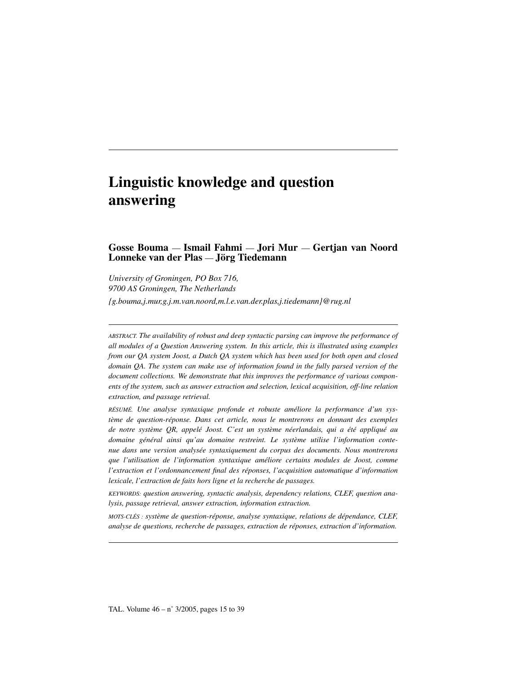# Linguistic knowledge and question answering

# Gosse Bouma — Ismail Fahmi — Jori Mur — Gertjan van Noord Lonneke van der Plas — Jörg Tiedemann

*University of Groningen, PO Box 716, 9700 AS Groningen, The Netherlands {g.bouma,j.mur,g.j.m.van.noord,m.l.e.van.der.plas,j.tiedemann}@rug.nl*

*ABSTRACT. The availability of robust and deep syntactic parsing can improve the performance of all modules of a Question Answering system. In this article, this is illustrated using examples from our QA system Joost, a Dutch QA system which has been used for both open and closed domain QA. The system can make use of information found in the fully parsed version of the document collections. We demonstrate that this improves the performance of various components of the system, such as answer extraction and selection, lexical acquisition, off-line relation extraction, and passage retrieval.*

*RÉSUMÉ. Une analyse syntaxique profonde et robuste améliore la performance d'un système de question-réponse. Dans cet article, nous le montrerons en donnant des exemples de notre système QR, appelé Joost. C'est un système néerlandais, qui a été appliqué au domaine général ainsi qu'au domaine restreint. Le système utilise l'information contenue dans une version analysée syntaxiquement du corpus des documents. Nous montrerons que l'utilisation de l'information syntaxique améliore certains modules de Joost, comme l'extraction et l'ordonnancement final des réponses, l'acquisition automatique d'information lexicale, l'extraction de faits hors ligne et la recherche de passages.*

*KEYWORDS: question answering, syntactic analysis, dependency relations, CLEF, question analysis, passage retrieval, answer extraction, information extraction.*

*MOTS-CLÉS : système de question-réponse, analyse syntaxique, relations de dépendance, CLEF, analyse de questions, recherche de passages, extraction de réponses, extraction d'information.*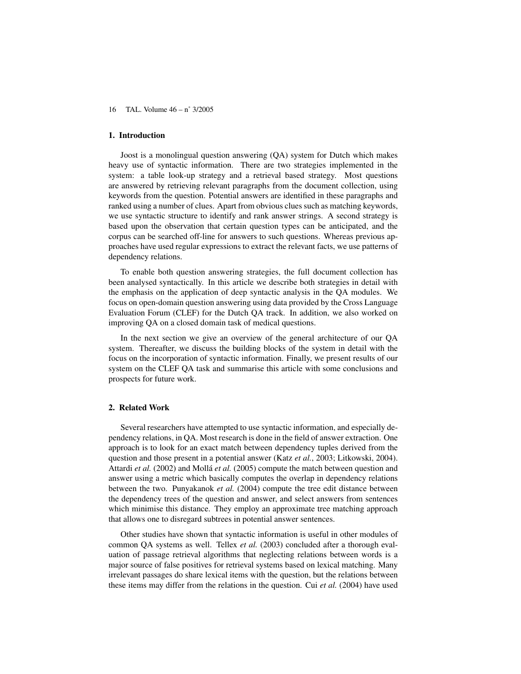## 1. Introduction

Joost is a monolingual question answering (QA) system for Dutch which makes heavy use of syntactic information. There are two strategies implemented in the system: a table look-up strategy and a retrieval based strategy. Most questions are answered by retrieving relevant paragraphs from the document collection, using keywords from the question. Potential answers are identified in these paragraphs and ranked using a number of clues. Apart from obvious clues such as matching keywords, we use syntactic structure to identify and rank answer strings. A second strategy is based upon the observation that certain question types can be anticipated, and the corpus can be searched off-line for answers to such questions. Whereas previous approaches have used regular expressions to extract the relevant facts, we use patterns of dependency relations.

To enable both question answering strategies, the full document collection has been analysed syntactically. In this article we describe both strategies in detail with the emphasis on the application of deep syntactic analysis in the QA modules. We focus on open-domain question answering using data provided by the Cross Language Evaluation Forum (CLEF) for the Dutch QA track. In addition, we also worked on improving QA on a closed domain task of medical questions.

In the next section we give an overview of the general architecture of our QA system. Thereafter, we discuss the building blocks of the system in detail with the focus on the incorporation of syntactic information. Finally, we present results of our system on the CLEF QA task and summarise this article with some conclusions and prospects for future work.

## 2. Related Work

Several researchers have attempted to use syntactic information, and especially dependency relations, in QA. Most research is done in the field of answer extraction. One approach is to look for an exact match between dependency tuples derived from the question and those present in a potential answer (Katz *et al.*, 2003; Litkowski, 2004). Attardi *et al.* (2002) and Mollá *et al.* (2005) compute the match between question and answer using a metric which basically computes the overlap in dependency relations between the two. Punyakanok *et al.* (2004) compute the tree edit distance between the dependency trees of the question and answer, and select answers from sentences which minimise this distance. They employ an approximate tree matching approach that allows one to disregard subtrees in potential answer sentences.

Other studies have shown that syntactic information is useful in other modules of common QA systems as well. Tellex *et al.* (2003) concluded after a thorough evaluation of passage retrieval algorithms that neglecting relations between words is a major source of false positives for retrieval systems based on lexical matching. Many irrelevant passages do share lexical items with the question, but the relations between these items may differ from the relations in the question. Cui *et al.* (2004) have used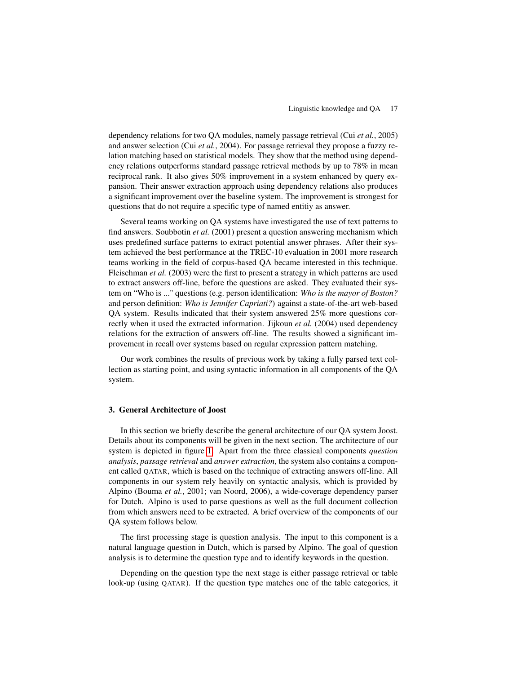dependency relations for two QA modules, namely passage retrieval (Cui *et al.*, 2005) and answer selection (Cui *et al.*, 2004). For passage retrieval they propose a fuzzy relation matching based on statistical models. They show that the method using dependency relations outperforms standard passage retrieval methods by up to 78% in mean reciprocal rank. It also gives 50% improvement in a system enhanced by query expansion. Their answer extraction approach using dependency relations also produces a significant improvement over the baseline system. The improvement is strongest for questions that do not require a specific type of named entitiy as answer.

Several teams working on QA systems have investigated the use of text patterns to find answers. Soubbotin *et al.* (2001) present a question answering mechanism which uses predefined surface patterns to extract potential answer phrases. After their system achieved the best performance at the TREC-10 evaluation in 2001 more research teams working in the field of corpus-based QA became interested in this technique. Fleischman *et al.* (2003) were the first to present a strategy in which patterns are used to extract answers off-line, before the questions are asked. They evaluated their system on "Who is ..." questions (e.g. person identification: *Who is the mayor of Boston?* and person definition: *Who is Jennifer Capriati?*) against a state-of-the-art web-based QA system. Results indicated that their system answered 25% more questions correctly when it used the extracted information. Jijkoun *et al.* (2004) used dependency relations for the extraction of answers off-line. The results showed a significant improvement in recall over systems based on regular expression pattern matching.

Our work combines the results of previous work by taking a fully parsed text collection as starting point, and using syntactic information in all components of the QA system.

#### <span id="page-2-0"></span>3. General Architecture of Joost

In this section we briefly describe the general architecture of our QA system Joost. Details about its components will be given in the next section. The architecture of our system is depicted in figure [1.](#page-2-0) Apart from the three classical components *question analysis*, *passage retrieval* and *answer extraction*, the system also contains a component called QATAR, which is based on the technique of extracting answers off-line. All components in our system rely heavily on syntactic analysis, which is provided by Alpino (Bouma *et al.*, 2001; van Noord, 2006), a wide-coverage dependency parser for Dutch. Alpino is used to parse questions as well as the full document collection from which answers need to be extracted. A brief overview of the components of our QA system follows below.

The first processing stage is question analysis. The input to this component is a natural language question in Dutch, which is parsed by Alpino. The goal of question analysis is to determine the question type and to identify keywords in the question.

Depending on the question type the next stage is either passage retrieval or table look-up (using QATAR). If the question type matches one of the table categories, it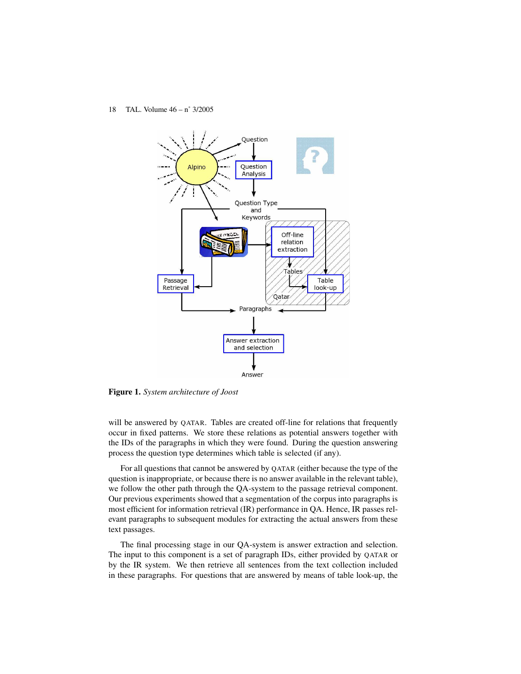

Figure 1. *System architecture of Joost*

will be answered by QATAR. Tables are created off-line for relations that frequently occur in fixed patterns. We store these relations as potential answers together with the IDs of the paragraphs in which they were found. During the question answering process the question type determines which table is selected (if any).

For all questions that cannot be answered by QATAR (either because the type of the question is inappropriate, or because there is no answer available in the relevant table), we follow the other path through the QA-system to the passage retrieval component. Our previous experiments showed that a segmentation of the corpus into paragraphs is most efficient for information retrieval (IR) performance in QA. Hence, IR passes relevant paragraphs to subsequent modules for extracting the actual answers from these text passages.

The final processing stage in our QA-system is answer extraction and selection. The input to this component is a set of paragraph IDs, either provided by QATAR or by the IR system. We then retrieve all sentences from the text collection included in these paragraphs. For questions that are answered by means of table look-up, the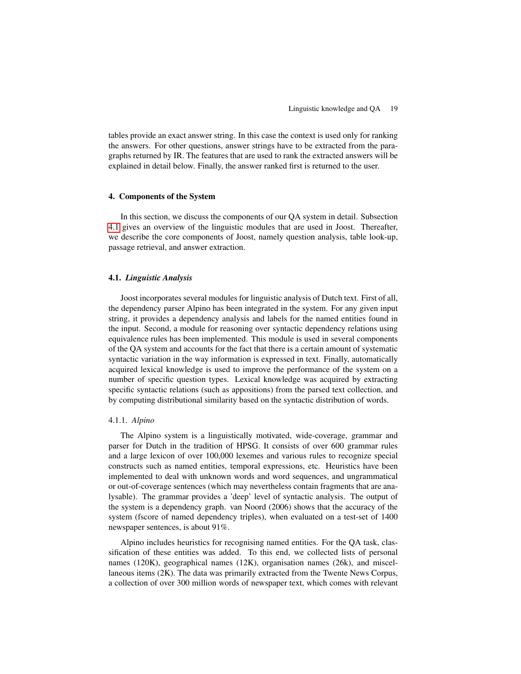tables provide an exact answer string. In this case the context is used only for ranking the answers. For other questions, answer strings have to be extracted from the paragraphs returned by IR. The features that are used to rank the extracted answers will be explained in detail below. Finally, the answer ranked first is returned to the user.

## 4. Components of the System

In this section, we discuss the components of our QA system in detail. Subsection [4.1](#page-4-0) gives an overview of the linguistic modules that are used in Joost. Thereafter, we describe the core components of Joost, namely question analysis, table look-up, passage retrieval, and answer extraction.

## <span id="page-4-0"></span>4.1. *Linguistic Analysis*

Joost incorporates several modules for linguistic analysis of Dutch text. First of all, the dependency parser Alpino has been integrated in the system. For any given input string, it provides a dependency analysis and labels for the named entities found in the input. Second, a module for reasoning over syntactic dependency relations using equivalence rules has been implemented. This module is used in several components of the QA system and accounts for the fact that there is a certain amount of systematic syntactic variation in the way information is expressed in text. Finally, automatically acquired lexical knowledge is used to improve the performance of the system on a number of specific question types. Lexical knowledge was acquired by extracting specific syntactic relations (such as appositions) from the parsed text collection, and by computing distributional similarity based on the syntactic distribution of words.

## 4.1.1. *Alpino*

The Alpino system is a linguistically motivated, wide-coverage, grammar and parser for Dutch in the tradition of HPSG. It consists of over 600 grammar rules and a large lexicon of over 100,000 lexemes and various rules to recognize special constructs such as named entities, temporal expressions, etc. Heuristics have been implemented to deal with unknown words and word sequences, and ungrammatical or out-of-coverage sentences (which may nevertheless contain fragments that are analysable). The grammar provides a 'deep' level of syntactic analysis. The output of the system is a dependency graph. van Noord (2006) shows that the accuracy of the system (fscore of named dependency triples), when evaluated on a test-set of 1400 newspaper sentences, is about 91%.

Alpino includes heuristics for recognising named entities. For the QA task, classification of these entities was added. To this end, we collected lists of personal names (120K), geographical names (12K), organisation names (26k), and miscellaneous items (2K). The data was primarily extracted from the Twente News Corpus, a collection of over 300 million words of newspaper text, which comes with relevant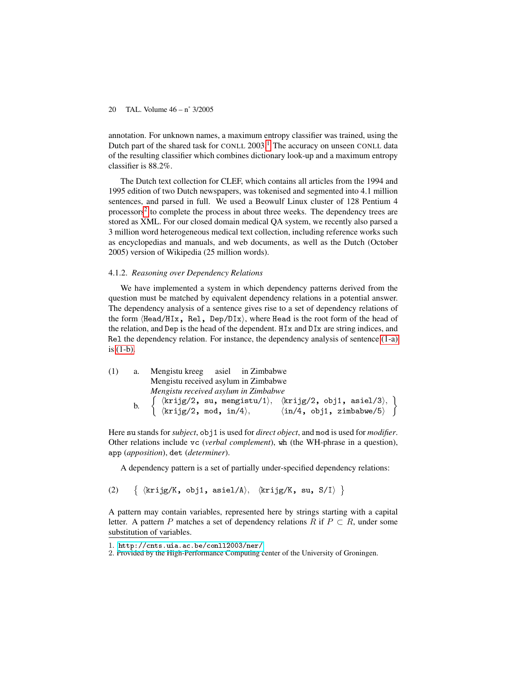annotation. For unknown names, a maximum entropy classifier was trained, using the Dutch part of the shared task for CONLL  $2003$ .<sup>[1](#page-5-0)</sup> The accuracy on unseen CONLL data of the resulting classifier which combines dictionary look-up and a maximum entropy classifier is 88.2%.

The Dutch text collection for CLEF, which contains all articles from the 1994 and 1995 edition of two Dutch newspapers, was tokenised and segmented into 4.1 million sentences, and parsed in full. We used a Beowulf Linux cluster of 128 Pentium 4 processors<sup>[2](#page-5-1)</sup> to complete the process in about three weeks. The dependency trees are stored as XML. For our closed domain medical QA system, we recently also parsed a 3 million word heterogeneous medical text collection, including reference works such as encyclopedias and manuals, and web documents, as well as the Dutch (October 2005) version of Wikipedia (25 million words).

#### <span id="page-5-4"></span>4.1.2. *Reasoning over Dependency Relations*

We have implemented a system in which dependency patterns derived from the question must be matched by equivalent dependency relations in a potential answer. The dependency analysis of a sentence gives rise to a set of dependency relations of the form  $\langle$ Head/HIx, Rel, Dep/DIx $\rangle$ , where Head is the root form of the head of the relation, and Dep is the head of the dependent. HIx and DIx are string indices, and Rel the dependency relation. For instance, the dependency analysis of sentence [\(1-a\)](#page-5-2) is [\(1-b\).](#page-5-3)

<span id="page-5-3"></span><span id="page-5-2"></span>

| (1) | a. Mengistu kreeg asiel in Zimbabwe  |                                                                                                                                                                                                                                                                                                                                                            |  |  |  |  |
|-----|--------------------------------------|------------------------------------------------------------------------------------------------------------------------------------------------------------------------------------------------------------------------------------------------------------------------------------------------------------------------------------------------------------|--|--|--|--|
|     | Mengistu received asylum in Zimbabwe |                                                                                                                                                                                                                                                                                                                                                            |  |  |  |  |
|     | Mengistu received asylum in Zimbabwe |                                                                                                                                                                                                                                                                                                                                                            |  |  |  |  |
|     |                                      | b. $\left\{\begin{array}{ll}\n\langle k\text{rig}/2, \text{ su}, \text{ mengistu}/1 \rangle, & \langle k\text{rig}/2, \text{ obj1, asiel}/3 \rangle, \\ \langle k\text{rig}/2, \text{ mod}, \text{ in}/4 \rangle, & \langle \text{in}/4, \text{ obj1, zimbabwe}/5 \rangle\n\end{array}\right\}$<br>$\langle \text{in}/4, \text{ obj1, zimbabwe}/5 \rangle$ |  |  |  |  |

Here su stands for *subject*, obj1 is used for *direct object*, and mod is used for *modifier*. Other relations include vc (*verbal complement*), wh (the WH-phrase in a question), app (*apposition*), det (*determiner*).

A dependency pattern is a set of partially under-specified dependency relations:

(2)  $\{krijg/K, obj1, asiel/A\}, \{krijg/K, su, S/I\}$ 

A pattern may contain variables, represented here by strings starting with a capital letter. A pattern P matches a set of dependency relations R if  $P \subset R$ , under some substitution of variables.

<span id="page-5-1"></span><span id="page-5-0"></span><sup>1</sup>. <http://cnts.uia.ac.be/conll2003/ner/>

<sup>2</sup>. Provided by the High-Performance Computing center of the University of Groningen.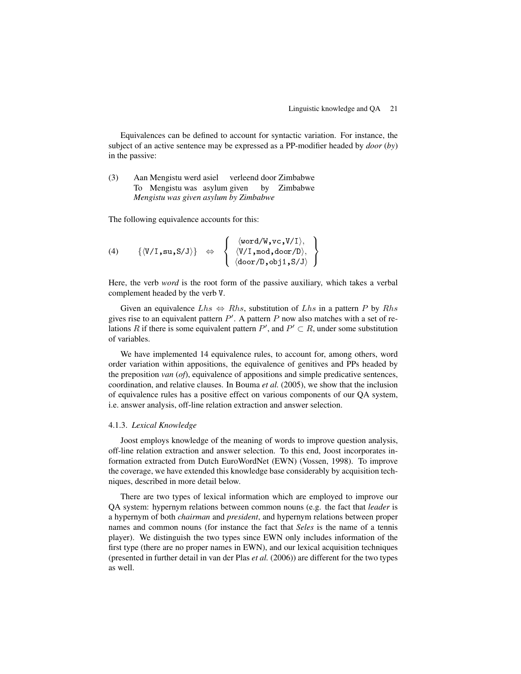Equivalences can be defined to account for syntactic variation. For instance, the subject of an active sentence may be expressed as a PP-modifier headed by *door* (*by*) in the passive:

#### (3) Aan Mengistu werd asiel verleend door Zimbabwe To Mengistu was asylum given by Zimbabwe *Mengistu was given asylum by Zimbabwe*

The following equivalence accounts for this:

(4) 
$$
\{\langle V/I, su, S/J\rangle\} \Leftrightarrow \{\langle V/I, mod, door/D\rangle, \langle V/I, mod, door/D\rangle, \langle door/D, obj1, S/J\rangle\}
$$

Here, the verb *word* is the root form of the passive auxiliary, which takes a verbal complement headed by the verb V.

Given an equivalence  $Lhs \Leftrightarrow Rhs$ , substitution of  $Lhs$  in a pattern P by  $Rhs$ gives rise to an equivalent pattern  $P'$ . A pattern P now also matches with a set of relations R if there is some equivalent pattern  $P'$ , and  $P' \subset R$ , under some substitution of variables.

We have implemented 14 equivalence rules, to account for, among others, word order variation within appositions, the equivalence of genitives and PPs headed by the preposition *van* (*of*), equivalence of appositions and simple predicative sentences, coordination, and relative clauses. In Bouma *et al.* (2005), we show that the inclusion of equivalence rules has a positive effect on various components of our QA system, i.e. answer analysis, off-line relation extraction and answer selection.

## <span id="page-6-0"></span>4.1.3. *Lexical Knowledge*

Joost employs knowledge of the meaning of words to improve question analysis, off-line relation extraction and answer selection. To this end, Joost incorporates information extracted from Dutch EuroWordNet (EWN) (Vossen, 1998). To improve the coverage, we have extended this knowledge base considerably by acquisition techniques, described in more detail below.

There are two types of lexical information which are employed to improve our QA system: hypernym relations between common nouns (e.g. the fact that *leader* is a hypernym of both *chairman* and *president*, and hypernym relations between proper names and common nouns (for instance the fact that *Seles* is the name of a tennis player). We distinguish the two types since EWN only includes information of the first type (there are no proper names in EWN), and our lexical acquisition techniques (presented in further detail in van der Plas *et al.* (2006)) are different for the two types as well.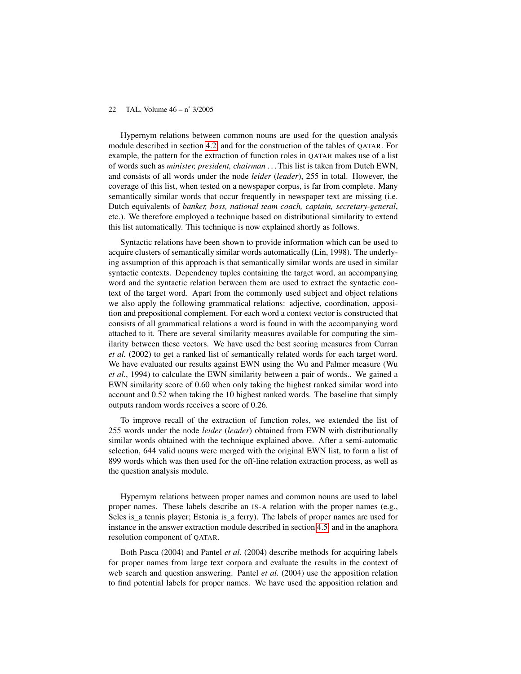Hypernym relations between common nouns are used for the question analysis module described in section [4.2,](#page-8-0) and for the construction of the tables of QATAR. For example, the pattern for the extraction of function roles in QATAR makes use of a list of words such as *minister, president, chairman* . . . This list is taken from Dutch EWN, and consists of all words under the node *leider* (*leader*), 255 in total. However, the coverage of this list, when tested on a newspaper corpus, is far from complete. Many semantically similar words that occur frequently in newspaper text are missing (i.e. Dutch equivalents of *banker, boss, national team coach, captain, secretary-general*, etc.). We therefore employed a technique based on distributional similarity to extend this list automatically. This technique is now explained shortly as follows.

Syntactic relations have been shown to provide information which can be used to acquire clusters of semantically similar words automatically (Lin, 1998). The underlying assumption of this approach is that semantically similar words are used in similar syntactic contexts. Dependency tuples containing the target word, an accompanying word and the syntactic relation between them are used to extract the syntactic context of the target word. Apart from the commonly used subject and object relations we also apply the following grammatical relations: adjective, coordination, apposition and prepositional complement. For each word a context vector is constructed that consists of all grammatical relations a word is found in with the accompanying word attached to it. There are several similarity measures available for computing the similarity between these vectors. We have used the best scoring measures from Curran *et al.* (2002) to get a ranked list of semantically related words for each target word. We have evaluated our results against EWN using the Wu and Palmer measure (Wu *et al.*, 1994) to calculate the EWN similarity between a pair of words.. We gained a EWN similarity score of 0.60 when only taking the highest ranked similar word into account and 0.52 when taking the 10 highest ranked words. The baseline that simply outputs random words receives a score of 0.26.

To improve recall of the extraction of function roles, we extended the list of 255 words under the node *leider* (*leader*) obtained from EWN with distributionally similar words obtained with the technique explained above. After a semi-automatic selection, 644 valid nouns were merged with the original EWN list, to form a list of 899 words which was then used for the off-line relation extraction process, as well as the question analysis module.

Hypernym relations between proper names and common nouns are used to label proper names. These labels describe an IS-A relation with the proper names (e.g., Seles is\_a tennis player; Estonia is\_a ferry). The labels of proper names are used for instance in the answer extraction module described in section [4.5,](#page-16-0) and in the anaphora resolution component of QATAR.

Both Pasca (2004) and Pantel *et al.* (2004) describe methods for acquiring labels for proper names from large text corpora and evaluate the results in the context of web search and question answering. Pantel *et al.* (2004) use the apposition relation to find potential labels for proper names. We have used the apposition relation and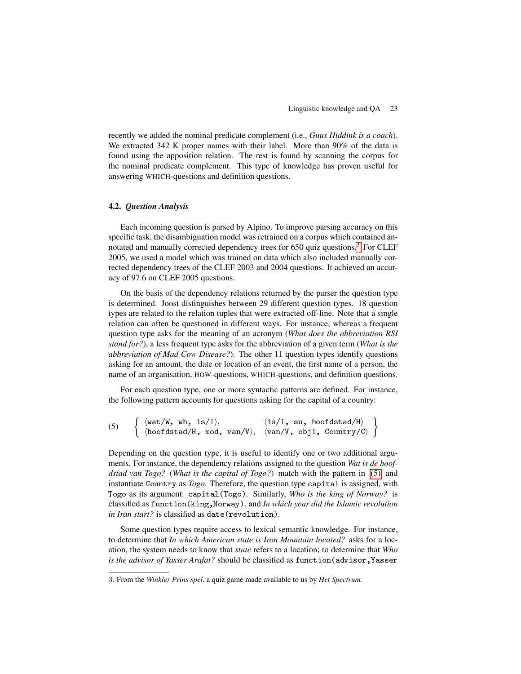recently we added the nominal predicate complement (i.e., *Guus Hiddink is a coach*). We extracted 342 K proper names with their label. More than 90% of the data is found using the apposition relation. The rest is found by scanning the corpus for the nominal predicate complement. This type of knowledge has proven useful for answering WHICH-questions and definition questions.

## <span id="page-8-0"></span>4.2. *Question Analysis*

Each incoming question is parsed by Alpino. To improve parsing accuracy on this specific task, the disambiguation model was retrained on a corpus which contained an-notated and manually corrected dependency trees for 650 quiz questions.<sup>[3](#page-8-1)</sup> For CLEF 2005, we used a model which was trained on data which also included manually corrected dependency trees of the CLEF 2003 and 2004 questions. It achieved an accuracy of 97.6 on CLEF 2005 questions.

On the basis of the dependency relations returned by the parser the question type is determined. Joost distinguishes between 29 different question types. 18 question types are related to the relation tuples that were extracted off-line. Note that a single relation can often be questioned in different ways. For instance, whereas a frequent question type asks for the meaning of an acronym (*What does the abbreviation RSI stand for?*), a less frequent type asks for the abbreviation of a given term (*What is the abbreviation of Mad Cow Disease?*). The other 11 question types identify questions asking for an amount, the date or location of an event, the first name of a person, the name of an organisation, HOW-questions, WHICH-questions, and definition questions.

For each question type, one or more syntactic patterns are defined. For instance, the following pattern accounts for questions asking for the capital of a country:

<span id="page-8-2"></span>
$$
(5) \quad \left\{ \begin{array}{ll} \langle \texttt{wat}/\texttt{W}, \texttt{ wh}, \texttt{ is}/\texttt{I} \rangle, & \langle \texttt{is}/\texttt{I}, \texttt{ su}, \texttt{ hoofdstad}/\texttt{H} \rangle \\ \langle \texttt{hoofdstad}/\texttt{H}, \texttt{ mod}, \texttt{ van}/\texttt{V} \rangle, & \langle \texttt{van}/\texttt{V}, \texttt{ obj1}, \texttt{Country}/\texttt{C} \rangle \end{array} \right\}
$$

Depending on the question type, it is useful to identify one or two additional arguments. For instance, the dependency relations assigned to the question *Wat is de hoofdstad van Togo?* (*What is the capital of Togo?*) match with the pattern in [\(5\),](#page-8-2) and instantiate Country as *Togo*. Therefore, the question type capital is assigned, with Togo as its argument: capital(Togo). Similarly, *Who is the king of Norway?* is classified as function(king,Norway), and *In which year did the Islamic revolution* in Iran start? is classified as date(revolution).

Some question types require access to lexical semantic knowledge. For instance, to determine that *In which American state is Iron Mountain located?* asks for a location, the system needs to know that *state* refers to a location; to determine that *Who is the advisor of Yasser Arafat?* should be classified as function(advisor,Yasser

<span id="page-8-1"></span><sup>3</sup>. From the *Winkler Prins spel*, a quiz game made available to us by *Het Spectrum.*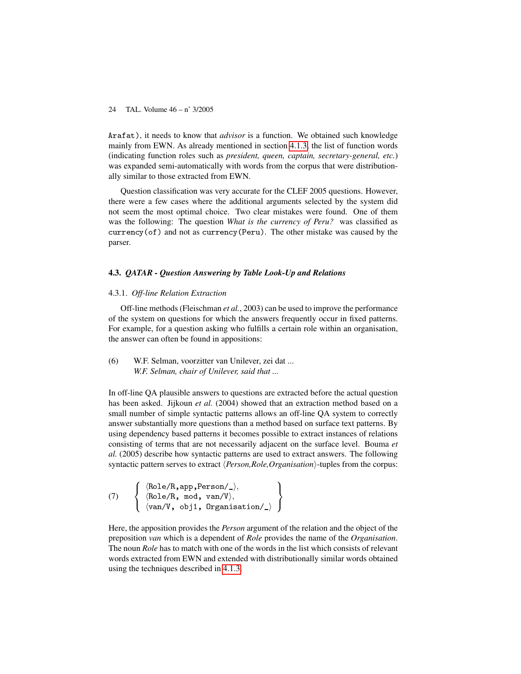Arafat), it needs to know that *advisor* is a function. We obtained such knowledge mainly from EWN. As already mentioned in section [4.1.3,](#page-6-0) the list of function words (indicating function roles such as *president, queen, captain, secretary-general, etc.*) was expanded semi-automatically with words from the corpus that were distributionally similar to those extracted from EWN.

Question classification was very accurate for the CLEF 2005 questions. However, there were a few cases where the additional arguments selected by the system did not seem the most optimal choice. Two clear mistakes were found. One of them was the following: The question *What is the currency of Peru?* was classified as currency(of) and not as currency(Peru). The other mistake was caused by the parser.

#### 4.3. *QATAR - Question Answering by Table Look-Up and Relations*

## 4.3.1. *Off-line Relation Extraction*

Off-line methods (Fleischman *et al.*, 2003) can be used to improve the performance of the system on questions for which the answers frequently occur in fixed patterns. For example, for a question asking who fulfills a certain role within an organisation, the answer can often be found in appositions:

## (6) W.F. Selman, voorzitter van Unilever, zei dat ... *W.F. Selman, chair of Unilever, said that ...*

In off-line QA plausible answers to questions are extracted before the actual question has been asked. Jijkoun *et al.* (2004) showed that an extraction method based on a small number of simple syntactic patterns allows an off-line QA system to correctly answer substantially more questions than a method based on surface text patterns. By using dependency based patterns it becomes possible to extract instances of relations consisting of terms that are not necessarily adjacent on the surface level. Bouma *et al.* (2005) describe how syntactic patterns are used to extract answers. The following syntactic pattern serves to extract *{Person,Role,Organisation}*-tuples from the corpus:

(7) 
$$
\left\{\begin{array}{ll}\langle \text{Role/R, app, Person/},\rangle,\\ \langle \text{Role/R, mod, van/V}\rangle,\\ \langle \text{van/V, obj1, Organization/},\rangle\end{array}\right\}
$$

Here, the apposition provides the *Person* argument of the relation and the object of the preposition *van* which is a dependent of *Role* provides the name of the *Organisation*. The noun *Role* has to match with one of the words in the list which consists of relevant words extracted from EWN and extended with distributionally similar words obtained using the techniques described in [4.1.3.](#page-6-0)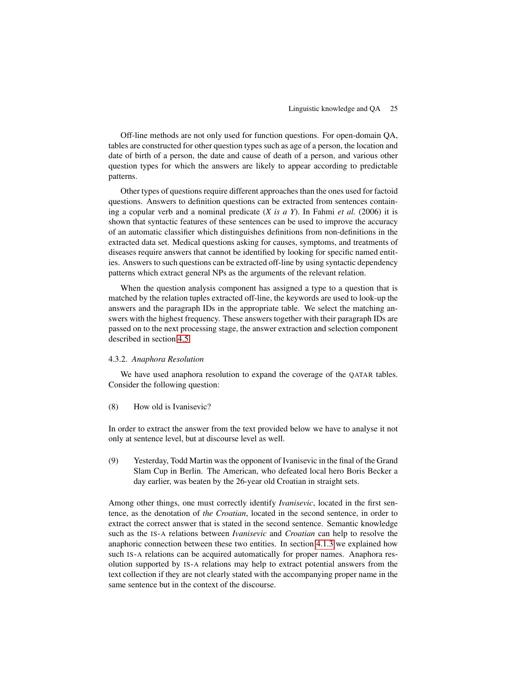Off-line methods are not only used for function questions. For open-domain QA, tables are constructed for other question types such as age of a person, the location and date of birth of a person, the date and cause of death of a person, and various other question types for which the answers are likely to appear according to predictable patterns.

Other types of questions require different approaches than the ones used for factoid questions. Answers to definition questions can be extracted from sentences containing a copular verb and a nominal predicate (*X is a Y*). In Fahmi *et al.* (2006) it is shown that syntactic features of these sentences can be used to improve the accuracy of an automatic classifier which distinguishes definitions from non-definitions in the extracted data set. Medical questions asking for causes, symptoms, and treatments of diseases require answers that cannot be identified by looking for specific named entities. Answers to such questions can be extracted off-line by using syntactic dependency patterns which extract general NPs as the arguments of the relevant relation.

When the question analysis component has assigned a type to a question that is matched by the relation tuples extracted off-line, the keywords are used to look-up the answers and the paragraph IDs in the appropriate table. We select the matching answers with the highest frequency. These answers together with their paragraph IDs are passed on to the next processing stage, the answer extraction and selection component described in section [4.5.](#page-16-0)

## 4.3.2. *Anaphora Resolution*

We have used anaphora resolution to expand the coverage of the QATAR tables. Consider the following question:

## (8) How old is Ivanisevic?

In order to extract the answer from the text provided below we have to analyse it not only at sentence level, but at discourse level as well.

<span id="page-10-0"></span>(9) Yesterday, Todd Martin was the opponent of Ivanisevic in the final of the Grand Slam Cup in Berlin. The American, who defeated local hero Boris Becker a day earlier, was beaten by the 26-year old Croatian in straight sets.

Among other things, one must correctly identify *Ivanisevic*, located in the first sentence, as the denotation of *the Croatian*, located in the second sentence, in order to extract the correct answer that is stated in the second sentence. Semantic knowledge such as the IS-A relations between *Ivanisevic* and *Croatian* can help to resolve the anaphoric connection between these two entities. In section [4.1.3](#page-6-0) we explained how such IS-A relations can be acquired automatically for proper names. Anaphora resolution supported by IS-A relations may help to extract potential answers from the text collection if they are not clearly stated with the accompanying proper name in the same sentence but in the context of the discourse.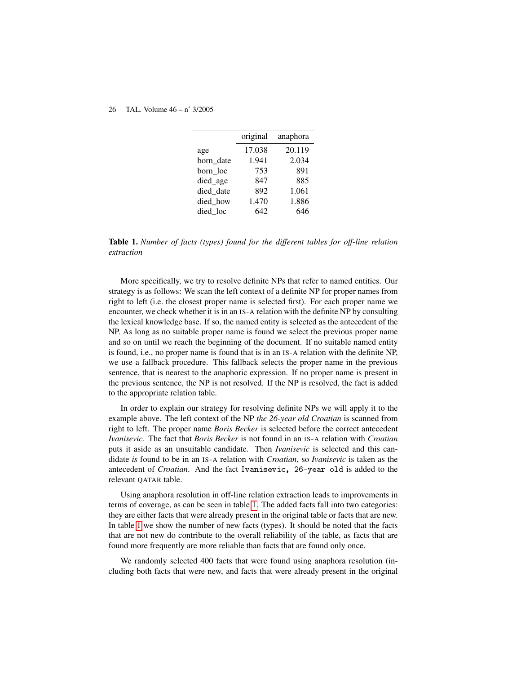|           | original | anaphora |
|-----------|----------|----------|
| age       | 17.038   | 20.119   |
| born date | 1.941    | 2.034    |
| born loc  | 753      | 891      |
| died_age  | 847      | 885      |
| died date | 892      | 1.061    |
| died how  | 1.470    | 1.886    |
| died loc  | 642      | 646      |

Table 1. *Number of facts (types) found for the different tables for off-line relation extraction*

More specifically, we try to resolve definite NPs that refer to named entities. Our strategy is as follows: We scan the left context of a definite NP for proper names from right to left (i.e. the closest proper name is selected first). For each proper name we encounter, we check whether it is in an IS-A relation with the definite NP by consulting the lexical knowledge base. If so, the named entity is selected as the antecedent of the NP. As long as no suitable proper name is found we select the previous proper name and so on until we reach the beginning of the document. If no suitable named entity is found, i.e., no proper name is found that is in an IS-A relation with the definite NP, we use a fallback procedure. This fallback selects the proper name in the previous sentence, that is nearest to the anaphoric expression. If no proper name is present in the previous sentence, the NP is not resolved. If the NP is resolved, the fact is added to the appropriate relation table.

In order to explain our strategy for resolving definite NPs we will apply it to the example above. The left context of the NP *the 26-year old Croatian* is scanned from right to left. The proper name *Boris Becker* is selected before the correct antecedent *Ivanisevic*. The fact that *Boris Becker* is not found in an IS-A relation with *Croatian* puts it aside as an unsuitable candidate. Then *Ivanisevic* is selected and this candidate *is* found to be in an IS-A relation with *Croatian*, so *Ivanisevic* is taken as the antecedent of *Croatian*. And the fact Ivanisevic, 26-year old is added to the relevant QATAR table.

Using anaphora resolution in off-line relation extraction leads to improvements in terms of coverage, as can be seen in table [1.](#page-10-0) The added facts fall into two categories: they are either facts that were already present in the original table or facts that are new. In table [1](#page-10-0) we show the number of new facts (types). It should be noted that the facts that are not new do contribute to the overall reliability of the table, as facts that are found more frequently are more reliable than facts that are found only once.

We randomly selected 400 facts that were found using anaphora resolution (including both facts that were new, and facts that were already present in the original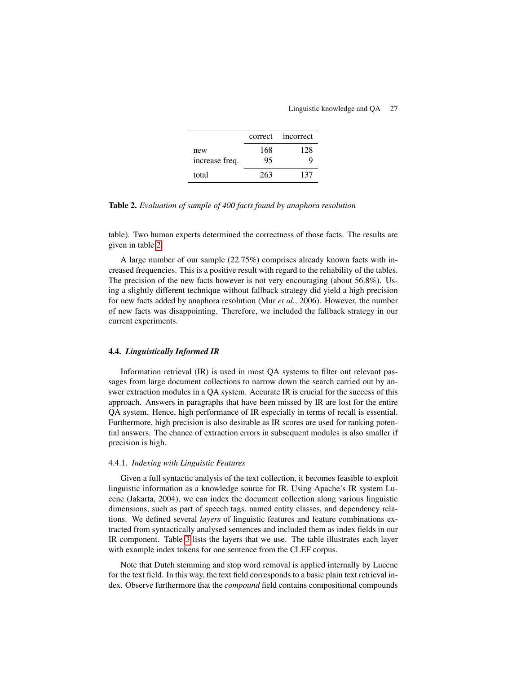|                |     | correct incorrect |
|----------------|-----|-------------------|
| new            | 168 | 128               |
| increase freq. | 95  |                   |
| total          | 263 | 137               |

Table 2. *Evaluation of sample of 400 facts found by anaphora resolution*

table). Two human experts determined the correctness of those facts. The results are given in table [2.](#page-10-0)

A large number of our sample (22.75%) comprises already known facts with increased frequencies. This is a positive result with regard to the reliability of the tables. The precision of the new facts however is not very encouraging (about 56.8%). Using a slightly different technique without fallback strategy did yield a high precision for new facts added by anaphora resolution (Mur *et al.*, 2006). However, the number of new facts was disappointing. Therefore, we included the fallback strategy in our current experiments.

## 4.4. *Linguistically Informed IR*

Information retrieval (IR) is used in most QA systems to filter out relevant passages from large document collections to narrow down the search carried out by answer extraction modules in a QA system. Accurate IR is crucial for the success of this approach. Answers in paragraphs that have been missed by IR are lost for the entire QA system. Hence, high performance of IR especially in terms of recall is essential. Furthermore, high precision is also desirable as IR scores are used for ranking potential answers. The chance of extraction errors in subsequent modules is also smaller if precision is high.

## <span id="page-12-0"></span>4.4.1. *Indexing with Linguistic Features*

Given a full syntactic analysis of the text collection, it becomes feasible to exploit linguistic information as a knowledge source for IR. Using Apache's IR system Lucene (Jakarta, 2004), we can index the document collection along various linguistic dimensions, such as part of speech tags, named entity classes, and dependency relations. We defined several *layers* of linguistic features and feature combinations extracted from syntactically analysed sentences and included them as index fields in our IR component. Table [3](#page-12-0) lists the layers that we use. The table illustrates each layer with example index tokens for one sentence from the CLEF corpus.

Note that Dutch stemming and stop word removal is applied internally by Lucene for the text field. In this way, the text field corresponds to a basic plain text retrieval index. Observe furthermore that the *compound* field contains compositional compounds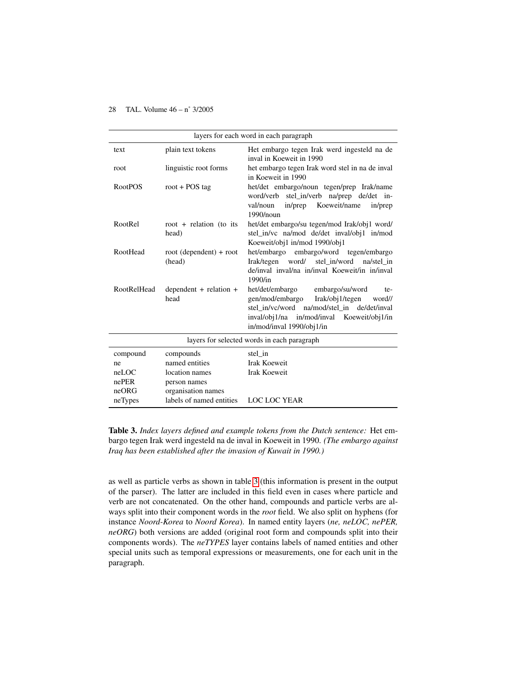| layers for each word in each paragraph      |                                                      |                                                                                                                                                                                                                     |  |  |  |  |  |
|---------------------------------------------|------------------------------------------------------|---------------------------------------------------------------------------------------------------------------------------------------------------------------------------------------------------------------------|--|--|--|--|--|
| text                                        | plain text tokens                                    | Het embargo tegen Irak werd ingesteld na de<br>inval in Koeweit in 1990                                                                                                                                             |  |  |  |  |  |
| root                                        | linguistic root forms                                | het embargo tegen Irak word stel in na de inval<br>in Koeweit in 1990                                                                                                                                               |  |  |  |  |  |
| <b>RootPOS</b>                              | root + $POS$ tag                                     | het/det embargo/noun tegen/prep Irak/name<br>word/verb stel_in/verb na/prep de/det in-<br>Koeweit/name<br>in/prep<br>val/noun<br>in/prep<br>1990/noun                                                               |  |  |  |  |  |
| RootRel                                     | root + relation (to its<br>head)                     | het/det embargo/su tegen/mod Irak/obj1 word/<br>stel_in/vc na/mod de/det inval/obj1 in/mod<br>Koeweit/obj1 in/mod 1990/obj1                                                                                         |  |  |  |  |  |
| RootHead                                    | $root$ (dependent) + root<br>(head)                  | het/embargo<br>embargo/word tegen/embargo<br>Irak/tegen<br>word/ stel in/word<br>na/stel in<br>de/inval inval/na in/inval Koeweit/in in/inval<br>1990/in                                                            |  |  |  |  |  |
| <b>RootRelHead</b>                          | dependent $+$ relation $+$<br>head                   | het/det/embargo<br>embargo/su/word<br>te-<br>gen/mod/embargo<br>Irak/obj1/tegen<br>word//<br>stel in/vc/word na/mod/stel in de/det/inval<br>inval/obj1/na in/mod/inval Koeweit/obj1/in<br>in/mod/inval 1990/obj1/in |  |  |  |  |  |
| layers for selected words in each paragraph |                                                      |                                                                                                                                                                                                                     |  |  |  |  |  |
| compound<br>ne                              | compounds<br>named entities                          | stel in<br><b>Irak Koeweit</b>                                                                                                                                                                                      |  |  |  |  |  |
| neLOC<br>nePER<br>neORG                     | location names<br>person names<br>organisation names | <b>Irak Koeweit</b>                                                                                                                                                                                                 |  |  |  |  |  |
| neTypes                                     | labels of named entities                             | <b>LOC LOC YEAR</b>                                                                                                                                                                                                 |  |  |  |  |  |

Table 3. *Index layers defined and example tokens from the Dutch sentence:* Het embargo tegen Irak werd ingesteld na de inval in Koeweit in 1990. *(The embargo against Iraq has been established after the invasion of Kuwait in 1990.)*

as well as particle verbs as shown in table [3](#page-12-0) (this information is present in the output of the parser). The latter are included in this field even in cases where particle and verb are not concatenated. On the other hand, compounds and particle verbs are always split into their component words in the *root* field. We also split on hyphens (for instance *Noord-Korea* to *Noord Korea*). In named entity layers (*ne, neLOC, nePER, neORG*) both versions are added (original root form and compounds split into their components words). The *neTYPES* layer contains labels of named entities and other special units such as temporal expressions or measurements, one for each unit in the paragraph.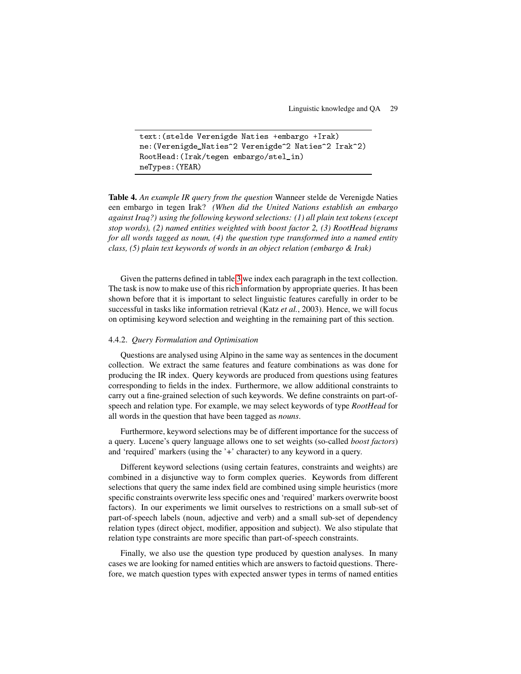```
text:(stelde Verenigde Naties +embargo +Irak)
ne:(Verenigde_Naties^2 Verenigde^2 Naties^2 Irak^2)
RootHead:(Irak/tegen embargo/stel_in)
neTypes:(YEAR)
```
Table 4. *An example IR query from the question* Wanneer stelde de Verenigde Naties een embargo in tegen Irak? *(When did the United Nations establish an embargo against Iraq?) using the following keyword selections: (1) all plain text tokens (except stop words), (2) named entities weighted with boost factor 2, (3) RootHead bigrams for all words tagged as noun, (4) the question type transformed into a named entity class, (5) plain text keywords of words in an object relation (embargo & Irak)*

Given the patterns defined in table [3](#page-12-0) we index each paragraph in the text collection. The task is now to make use of this rich information by appropriate queries. It has been shown before that it is important to select linguistic features carefully in order to be successful in tasks like information retrieval (Katz *et al.*, 2003). Hence, we will focus on optimising keyword selection and weighting in the remaining part of this section.

#### <span id="page-14-0"></span>4.4.2. *Query Formulation and Optimisation*

Questions are analysed using Alpino in the same way as sentences in the document collection. We extract the same features and feature combinations as was done for producing the IR index. Query keywords are produced from questions using features corresponding to fields in the index. Furthermore, we allow additional constraints to carry out a fine-grained selection of such keywords. We define constraints on part-ofspeech and relation type. For example, we may select keywords of type *RootHead* for all words in the question that have been tagged as *nouns*.

Furthermore, keyword selections may be of different importance for the success of a query. Lucene's query language allows one to set weights (so-called *boost factors*) and 'required' markers (using the '+' character) to any keyword in a query.

Different keyword selections (using certain features, constraints and weights) are combined in a disjunctive way to form complex queries. Keywords from different selections that query the same index field are combined using simple heuristics (more specific constraints overwrite less specific ones and 'required' markers overwrite boost factors). In our experiments we limit ourselves to restrictions on a small sub-set of part-of-speech labels (noun, adjective and verb) and a small sub-set of dependency relation types (direct object, modifier, apposition and subject). We also stipulate that relation type constraints are more specific than part-of-speech constraints.

Finally, we also use the question type produced by question analyses. In many cases we are looking for named entities which are answers to factoid questions. Therefore, we match question types with expected answer types in terms of named entities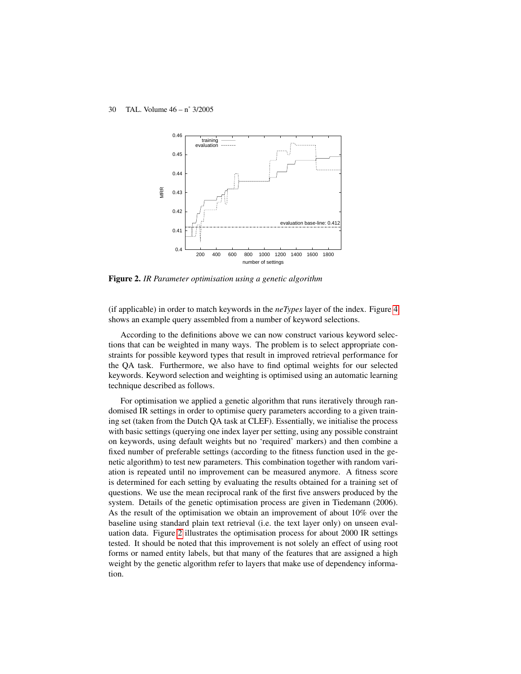

Figure 2. *IR Parameter optimisation using a genetic algorithm*

(if applicable) in order to match keywords in the *neTypes* layer of the index. Figure [4](#page-14-0) shows an example query assembled from a number of keyword selections.

According to the definitions above we can now construct various keyword selections that can be weighted in many ways. The problem is to select appropriate constraints for possible keyword types that result in improved retrieval performance for the QA task. Furthermore, we also have to find optimal weights for our selected keywords. Keyword selection and weighting is optimised using an automatic learning technique described as follows.

For optimisation we applied a genetic algorithm that runs iteratively through randomised IR settings in order to optimise query parameters according to a given training set (taken from the Dutch QA task at CLEF). Essentially, we initialise the process with basic settings (querying one index layer per setting, using any possible constraint on keywords, using default weights but no 'required' markers) and then combine a fixed number of preferable settings (according to the fitness function used in the genetic algorithm) to test new parameters. This combination together with random variation is repeated until no improvement can be measured anymore. A fitness score is determined for each setting by evaluating the results obtained for a training set of questions. We use the mean reciprocal rank of the first five answers produced by the system. Details of the genetic optimisation process are given in Tiedemann (2006). As the result of the optimisation we obtain an improvement of about 10% over the baseline using standard plain text retrieval (i.e. the text layer only) on unseen evaluation data. Figure [2](#page-14-0) illustrates the optimisation process for about 2000 IR settings tested. It should be noted that this improvement is not solely an effect of using root forms or named entity labels, but that many of the features that are assigned a high weight by the genetic algorithm refer to layers that make use of dependency information.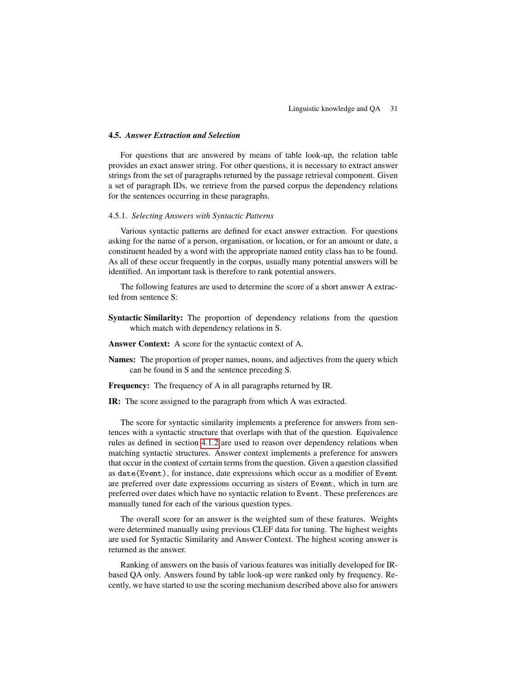## <span id="page-16-0"></span>4.5. *Answer Extraction and Selection*

For questions that are answered by means of table look-up, the relation table provides an exact answer string. For other questions, it is necessary to extract answer strings from the set of paragraphs returned by the passage retrieval component. Given a set of paragraph IDs, we retrieve from the parsed corpus the dependency relations for the sentences occurring in these paragraphs.

## 4.5.1. *Selecting Answers with Syntactic Patterns*

Various syntactic patterns are defined for exact answer extraction. For questions asking for the name of a person, organisation, or location, or for an amount or date, a constituent headed by a word with the appropriate named entity class has to be found. As all of these occur frequently in the corpus, usually many potential answers will be identified. An important task is therefore to rank potential answers.

The following features are used to determine the score of a short answer A extracted from sentence S:

- Syntactic Similarity: The proportion of dependency relations from the question which match with dependency relations in S.
- Answer Context: A score for the syntactic context of A.
- Names: The proportion of proper names, nouns, and adjectives from the query which can be found in S and the sentence preceding S.

Frequency: The frequency of A in all paragraphs returned by IR.

IR: The score assigned to the paragraph from which A was extracted.

The score for syntactic similarity implements a preference for answers from sentences with a syntactic structure that overlaps with that of the question. Equivalence rules as defined in section [4.1.2](#page-5-4) are used to reason over dependency relations when matching syntactic structures. Answer context implements a preference for answers that occur in the context of certain terms from the question. Given a question classified as date(Event), for instance, date expressions which occur as a modifier of Event are preferred over date expressions occurring as sisters of Event, which in turn are preferred over dates which have no syntactic relation to Event. These preferences are manually tuned for each of the various question types.

The overall score for an answer is the weighted sum of these features. Weights were determined manually using previous CLEF data for tuning. The highest weights are used for Syntactic Similarity and Answer Context. The highest scoring answer is returned as the answer.

Ranking of answers on the basis of various features was initially developed for IRbased QA only. Answers found by table look-up were ranked only by frequency. Recently, we have started to use the scoring mechanism described above also for answers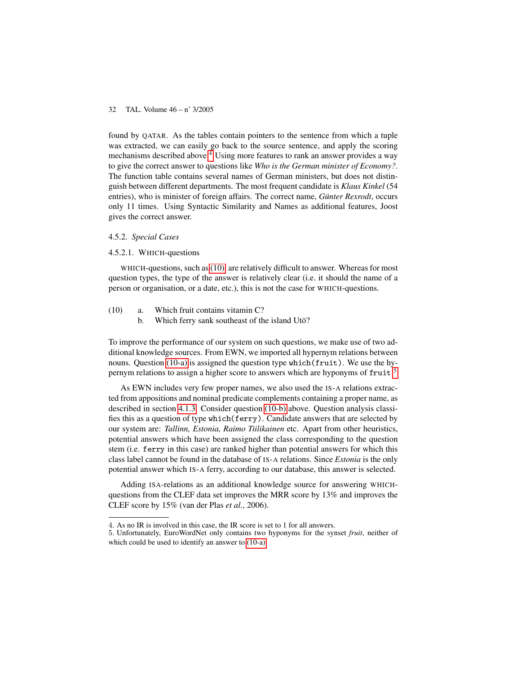found by QATAR. As the tables contain pointers to the sentence from which a tuple was extracted, we can easily go back to the source sentence, and apply the scoring mechanisms described above.[4](#page-17-0) Using more features to rank an answer provides a way to give the correct answer to questions like *Who is the German minister of Economy?*. The function table contains several names of German ministers, but does not distinguish between different departments. The most frequent candidate is *Klaus Kinkel* (54 entries), who is minister of foreign affairs. The correct name, *Günter Rexrodt*, occurs only 11 times. Using Syntactic Similarity and Names as additional features, Joost gives the correct answer.

## 4.5.2. *Special Cases*

## 4.5.2.1. WHICH-questions

WHICH-questions, such as [\(10\),](#page-17-1) are relatively difficult to answer. Whereas for most question types, the type of the answer is relatively clear (i.e. it should the name of a person or organisation, or a date, etc.), this is not the case for WHICH-questions.

<span id="page-17-4"></span><span id="page-17-2"></span><span id="page-17-1"></span>(10) a. Which fruit contains vitamin C?

b. Which ferry sank southeast of the island Utö?

To improve the performance of our system on such questions, we make use of two additional knowledge sources. From EWN, we imported all hypernym relations between nouns. Question [\(10-a\)](#page-17-2) is assigned the question type which(fruit). We use the hy-pernym relations to assign a higher score to answers which are hyponyms of fruit.<sup>[5](#page-17-3)</sup>

As EWN includes very few proper names, we also used the IS-A relations extracted from appositions and nominal predicate complements containing a proper name, as described in section [4.1.3.](#page-6-0) Consider question [\(10-b\)](#page-17-4) above. Question analysis classifies this as a question of type which(ferry). Candidate answers that are selected by our system are: *Tallinn, Estonia, Raimo Tiilikainen* etc. Apart from other heuristics, potential answers which have been assigned the class corresponding to the question stem (i.e. ferry in this case) are ranked higher than potential answers for which this class label cannot be found in the database of IS-A relations. Since *Estonia* is the only potential answer which IS-A ferry, according to our database, this answer is selected.

Adding ISA-relations as an additional knowledge source for answering WHICHquestions from the CLEF data set improves the MRR score by 13% and improves the CLEF score by 15% (van der Plas *et al.*, 2006).

<span id="page-17-3"></span><span id="page-17-0"></span><sup>4</sup>. As no IR is involved in this case, the IR score is set to 1 for all answers.

<sup>5</sup>. Unfortunately, EuroWordNet only contains two hyponyms for the synset *fruit*, neither of which could be used to identify an answer to [\(10-a\).](#page-17-2)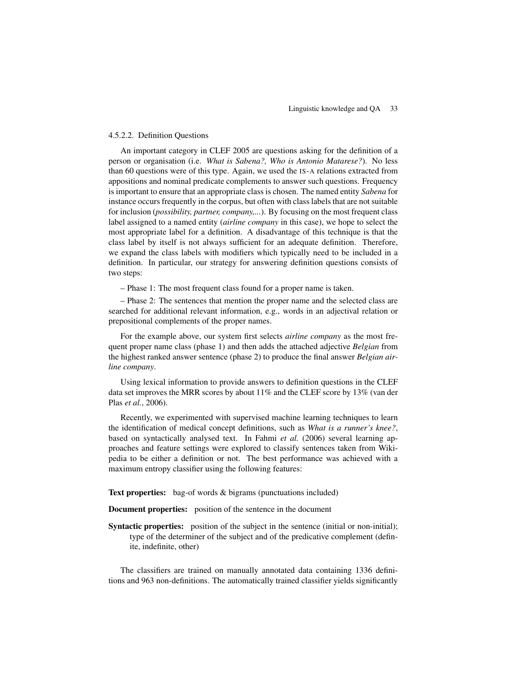## <span id="page-18-0"></span>4.5.2.2. Definition Questions

An important category in CLEF 2005 are questions asking for the definition of a person or organisation (i.e. *What is Sabena?, Who is Antonio Matarese?*). No less than 60 questions were of this type. Again, we used the IS-A relations extracted from appositions and nominal predicate complements to answer such questions. Frequency is important to ensure that an appropriate class is chosen. The named entity *Sabena* for instance occurs frequently in the corpus, but often with class labels that are not suitable for inclusion (*possibility, partner, company,...*). By focusing on the most frequent class label assigned to a named entity (*airline company* in this case), we hope to select the most appropriate label for a definition. A disadvantage of this technique is that the class label by itself is not always sufficient for an adequate definition. Therefore, we expand the class labels with modifiers which typically need to be included in a definition. In particular, our strategy for answering definition questions consists of two steps:

– Phase 1: The most frequent class found for a proper name is taken.

– Phase 2: The sentences that mention the proper name and the selected class are searched for additional relevant information, e.g., words in an adjectival relation or prepositional complements of the proper names.

For the example above, our system first selects *airline company* as the most frequent proper name class (phase 1) and then adds the attached adjective *Belgian* from the highest ranked answer sentence (phase 2) to produce the final answer *Belgian airline company*.

Using lexical information to provide answers to definition questions in the CLEF data set improves the MRR scores by about 11% and the CLEF score by 13% (van der Plas *et al.*, 2006).

Recently, we experimented with supervised machine learning techniques to learn the identification of medical concept definitions, such as *What is a runner's knee?*, based on syntactically analysed text. In Fahmi *et al.* (2006) several learning approaches and feature settings were explored to classify sentences taken from Wikipedia to be either a definition or not. The best performance was achieved with a maximum entropy classifier using the following features:

Text properties: bag-of words & bigrams (punctuations included)

Document properties: position of the sentence in the document

Syntactic properties: position of the subject in the sentence (initial or non-initial); type of the determiner of the subject and of the predicative complement (definite, indefinite, other)

The classifiers are trained on manually annotated data containing 1336 definitions and 963 non-definitions. The automatically trained classifier yields significantly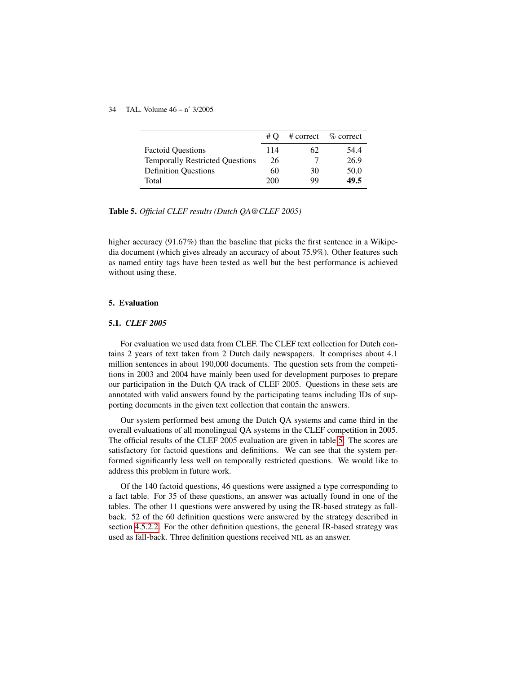|                                        | # $\Omega$ |    | # correct % correct |
|----------------------------------------|------------|----|---------------------|
| <b>Factoid Ouestions</b>               | 114        | 62 | 54.4                |
| <b>Temporally Restricted Questions</b> | 26         |    | 26.9                |
| <b>Definition Questions</b>            | 60         | 30 | 50.0                |
| Total                                  | 200        | 99 | 49.5                |

Table 5. *Official CLEF results (Dutch QA@CLEF 2005)*

higher accuracy (91.67%) than the baseline that picks the first sentence in a Wikipedia document (which gives already an accuracy of about 75.9%). Other features such as named entity tags have been tested as well but the best performance is achieved without using these.

## 5. Evaluation

## <span id="page-19-0"></span>5.1. *CLEF 2005*

For evaluation we used data from CLEF. The CLEF text collection for Dutch contains 2 years of text taken from 2 Dutch daily newspapers. It comprises about 4.1 million sentences in about 190,000 documents. The question sets from the competitions in 2003 and 2004 have mainly been used for development purposes to prepare our participation in the Dutch QA track of CLEF 2005. Questions in these sets are annotated with valid answers found by the participating teams including IDs of supporting documents in the given text collection that contain the answers.

Our system performed best among the Dutch QA systems and came third in the overall evaluations of all monolingual QA systems in the CLEF competition in 2005. The official results of the CLEF 2005 evaluation are given in table [5.](#page-19-0) The scores are satisfactory for factoid questions and definitions. We can see that the system performed significantly less well on temporally restricted questions. We would like to address this problem in future work.

Of the 140 factoid questions, 46 questions were assigned a type corresponding to a fact table. For 35 of these questions, an answer was actually found in one of the tables. The other 11 questions were answered by using the IR-based strategy as fallback. 52 of the 60 definition questions were answered by the strategy described in section [4.5.2.2.](#page-18-0) For the other definition questions, the general IR-based strategy was used as fall-back. Three definition questions received NIL as an answer.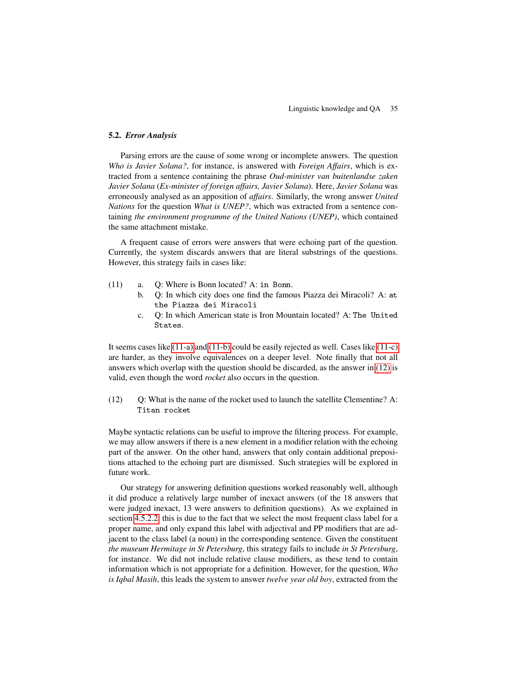## 5.2. *Error Analysis*

Parsing errors are the cause of some wrong or incomplete answers. The question *Who is Javier Solana?*, for instance, is answered with *Foreign Affairs*, which is extracted from a sentence containing the phrase *Oud-minister van buitenlandse zaken Javier Solana* (*Ex-minister of foreign affairs, Javier Solana*). Here, *Javier Solana* was erroneously analysed as an apposition of *affairs*. Similarly, the wrong answer *United Nations* for the question *What is UNEP?*, which was extracted from a sentence containing *the environment programme of the United Nations (UNEP)*, which contained the same attachment mistake.

A frequent cause of errors were answers that were echoing part of the question. Currently, the system discards answers that are literal substrings of the questions. However, this strategy fails in cases like:

- <span id="page-20-2"></span><span id="page-20-1"></span><span id="page-20-0"></span>(11) a. Q: Where is Bonn located? A: in Bonn.
	- b. Q: In which city does one find the famous Piazza dei Miracoli? A: at the Piazza dei Miracoli
	- c. Q: In which American state is Iron Mountain located? A: The United States.

It seems cases like [\(11-a\)](#page-20-0) and [\(11-b\)](#page-20-1) could be easily rejected as well. Cases like [\(11-c\)](#page-20-2) are harder, as they involve equivalences on a deeper level. Note finally that not all answers which overlap with the question should be discarded, as the answer in [\(12\)](#page-20-3) is valid, even though the word *rocket* also occurs in the question.

<span id="page-20-3"></span> $(12)$  Q: What is the name of the rocket used to launch the satellite Clementine? A: Titan rocket

Maybe syntactic relations can be useful to improve the filtering process. For example, we may allow answers if there is a new element in a modifier relation with the echoing part of the answer. On the other hand, answers that only contain additional prepositions attached to the echoing part are dismissed. Such strategies will be explored in future work.

Our strategy for answering definition questions worked reasonably well, although it did produce a relatively large number of inexact answers (of the 18 answers that were judged inexact, 13 were answers to definition questions). As we explained in section [4.5.2.2,](#page-18-0) this is due to the fact that we select the most frequent class label for a proper name, and only expand this label with adjectival and PP modifiers that are adjacent to the class label (a noun) in the corresponding sentence. Given the constituent *the museum Hermitage in St Petersburg*, this strategy fails to include *in St Petersburg*, for instance. We did not include relative clause modifiers, as these tend to contain information which is not appropriate for a definition. However, for the question, *Who is Iqbal Masih*, this leads the system to answer *twelve year old boy*, extracted from the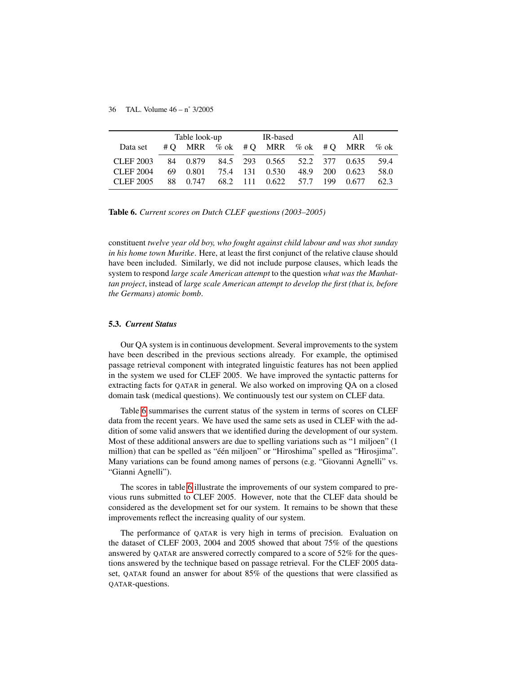|           | Table look-up |          |  | IR-based |                                        |          | All |       |      |
|-----------|---------------|----------|--|----------|----------------------------------------|----------|-----|-------|------|
| Data set  |               |          |  |          | #O MRR % ok #O MRR % ok #O MRR % ok    |          |     |       |      |
| CLEF 2003 |               |          |  |          | 84 0.879 84.5 293 0.565 52.2 377 0.635 |          |     |       | 59.4 |
| CLEF 2004 | 69.           | 0.801    |  |          | 75.4 131 0.530                         | 48.9 200 |     | 0.623 | 58.0 |
| CLEF 2005 |               | 88 0.747 |  |          | 68.2 111 0.622 57.7 199 0.677          |          |     |       | 62.3 |

Table 6. *Current scores on Dutch CLEF questions (2003–2005)*

constituent *twelve year old boy, who fought against child labour and was shot sunday in his home town Muritke*. Here, at least the first conjunct of the relative clause should have been included. Similarly, we did not include purpose clauses, which leads the system to respond *large scale American attempt* to the question *what was the Manhattan project*, instead of *large scale American attempt to develop the first (that is, before the Germans) atomic bomb*.

## <span id="page-21-0"></span>5.3. *Current Status*

Our QA system is in continuous development. Several improvements to the system have been described in the previous sections already. For example, the optimised passage retrieval component with integrated linguistic features has not been applied in the system we used for CLEF 2005. We have improved the syntactic patterns for extracting facts for QATAR in general. We also worked on improving QA on a closed domain task (medical questions). We continuously test our system on CLEF data.

Table [6](#page-21-0) summarises the current status of the system in terms of scores on CLEF data from the recent years. We have used the same sets as used in CLEF with the addition of some valid answers that we identified during the development of our system. Most of these additional answers are due to spelling variations such as "1 miljoen" (1 million) that can be spelled as "één miljoen" or "Hiroshima" spelled as "Hirosjima". Many variations can be found among names of persons (e.g. "Giovanni Agnelli" vs. "Gianni Agnelli").

The scores in table [6](#page-21-0) illustrate the improvements of our system compared to previous runs submitted to CLEF 2005. However, note that the CLEF data should be considered as the development set for our system. It remains to be shown that these improvements reflect the increasing quality of our system.

The performance of QATAR is very high in terms of precision. Evaluation on the dataset of CLEF 2003, 2004 and 2005 showed that about 75% of the questions answered by QATAR are answered correctly compared to a score of 52% for the questions answered by the technique based on passage retrieval. For the CLEF 2005 dataset, QATAR found an answer for about 85% of the questions that were classified as QATAR-questions.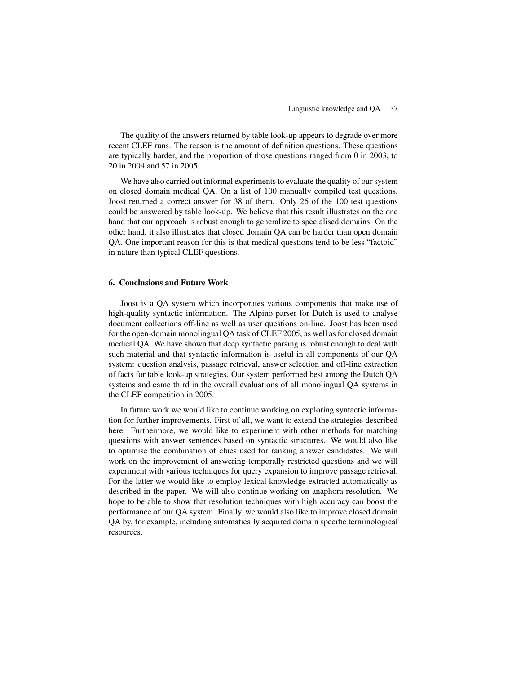The quality of the answers returned by table look-up appears to degrade over more recent CLEF runs. The reason is the amount of definition questions. These questions are typically harder, and the proportion of those questions ranged from 0 in 2003, to 20 in 2004 and 57 in 2005.

We have also carried out informal experiments to evaluate the quality of our system on closed domain medical QA. On a list of 100 manually compiled test questions, Joost returned a correct answer for 38 of them. Only 26 of the 100 test questions could be answered by table look-up. We believe that this result illustrates on the one hand that our approach is robust enough to generalize to specialised domains. On the other hand, it also illustrates that closed domain QA can be harder than open domain QA. One important reason for this is that medical questions tend to be less "factoid" in nature than typical CLEF questions.

## 6. Conclusions and Future Work

Joost is a QA system which incorporates various components that make use of high-quality syntactic information. The Alpino parser for Dutch is used to analyse document collections off-line as well as user questions on-line. Joost has been used for the open-domain monolingual QA task of CLEF 2005, as well as for closed domain medical QA. We have shown that deep syntactic parsing is robust enough to deal with such material and that syntactic information is useful in all components of our QA system: question analysis, passage retrieval, answer selection and off-line extraction of facts for table look-up strategies. Our system performed best among the Dutch QA systems and came third in the overall evaluations of all monolingual QA systems in the CLEF competition in 2005.

In future work we would like to continue working on exploring syntactic information for further improvements. First of all, we want to extend the strategies described here. Furthermore, we would like to experiment with other methods for matching questions with answer sentences based on syntactic structures. We would also like to optimise the combination of clues used for ranking answer candidates. We will work on the improvement of answering temporally restricted questions and we will experiment with various techniques for query expansion to improve passage retrieval. For the latter we would like to employ lexical knowledge extracted automatically as described in the paper. We will also continue working on anaphora resolution. We hope to be able to show that resolution techniques with high accuracy can boost the performance of our QA system. Finally, we would also like to improve closed domain QA by, for example, including automatically acquired domain specific terminological resources.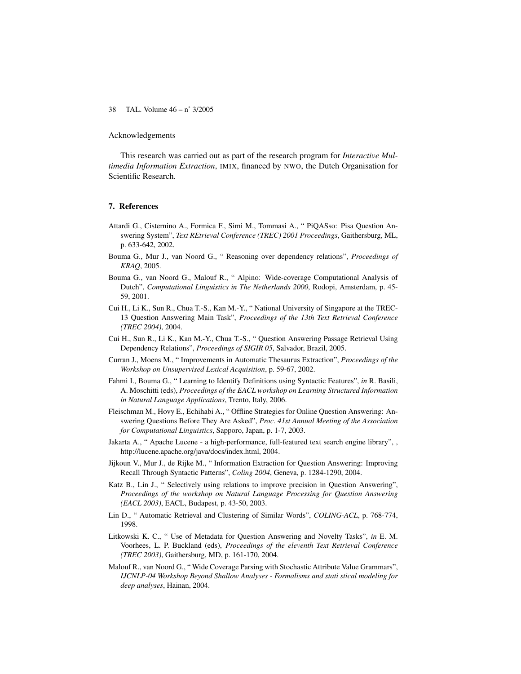## Acknowledgements

This research was carried out as part of the research program for *Interactive Multimedia Information Extraction*, IMIX, financed by NWO, the Dutch Organisation for Scientific Research.

## 7. References

- Attardi G., Cisternino A., Formica F., Simi M., Tommasi A., " PiQASso: Pisa Question Answering System", *Text REtrieval Conference (TREC) 2001 Proceedings*, Gaithersburg, ML, p. 633-642, 2002.
- Bouma G., Mur J., van Noord G., " Reasoning over dependency relations", *Proceedings of KRAQ*, 2005.
- Bouma G., van Noord G., Malouf R., " Alpino: Wide-coverage Computational Analysis of Dutch", *Computational Linguistics in The Netherlands 2000*, Rodopi, Amsterdam, p. 45- 59, 2001.
- Cui H., Li K., Sun R., Chua T.-S., Kan M.-Y., " National University of Singapore at the TREC-13 Question Answering Main Task", *Proceedings of the 13th Text Retrieval Conference (TREC 2004)*, 2004.
- Cui H., Sun R., Li K., Kan M.-Y., Chua T.-S., " Question Answering Passage Retrieval Using Dependency Relations", *Proceedings of SIGIR 05*, Salvador, Brazil, 2005.
- Curran J., Moens M., " Improvements in Automatic Thesaurus Extraction", *Proceedings of the Workshop on Unsupervised Lexical Acquisition*, p. 59-67, 2002.
- Fahmi I., Bouma G., " Learning to Identify Definitions using Syntactic Features", *in* R. Basili, A. Moschitti (eds), *Proceedings of the EACL workshop on Learning Structured Information in Natural Language Applications*, Trento, Italy, 2006.
- Fleischman M., Hovy E., Echihabi A., " Offline Strategies for Online Question Answering: Answering Questions Before They Are Asked", *Proc. 41st Annual Meeting of the Association for Computational Linguistics*, Sapporo, Japan, p. 1-7, 2003.
- Jakarta A., " Apache Lucene a high-performance, full-featured text search engine library", , http://lucene.apache.org/java/docs/index.html, 2004.
- Jijkoun V., Mur J., de Rijke M., " Information Extraction for Question Answering: Improving Recall Through Syntactic Patterns", *Coling 2004*, Geneva, p. 1284-1290, 2004.
- Katz B., Lin J., " Selectively using relations to improve precision in Question Answering", *Proceedings of the workshop on Natural Language Processing for Question Answering (EACL 2003)*, EACL, Budapest, p. 43-50, 2003.
- Lin D., " Automatic Retrieval and Clustering of Similar Words", *COLING-ACL*, p. 768-774, 1998.
- Litkowski K. C., " Use of Metadata for Question Answering and Novelty Tasks", *in* E. M. Voorhees, L. P. Buckland (eds), *Proceedings of the eleventh Text Retrieval Conference (TREC 2003)*, Gaithersburg, MD, p. 161-170, 2004.
- Malouf R., van Noord G., " Wide Coverage Parsing with Stochastic Attribute Value Grammars", *IJCNLP-04 Workshop Beyond Shallow Analyses - Formalisms and stati stical modeling for deep analyses*, Hainan, 2004.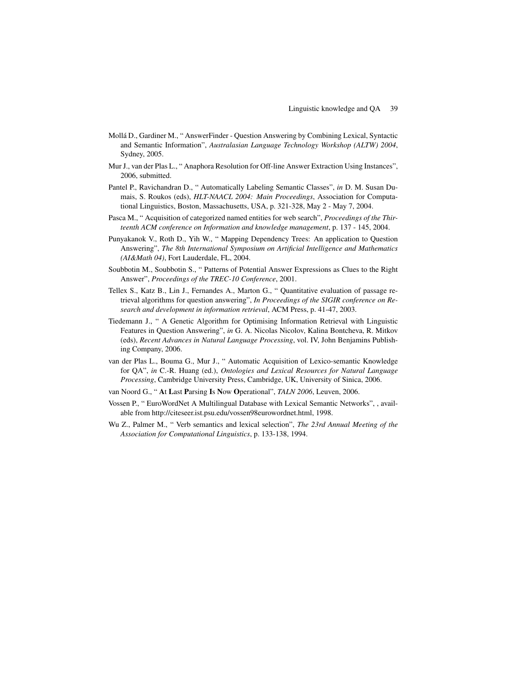- Mollá D., Gardiner M., " AnswerFinder Question Answering by Combining Lexical, Syntactic and Semantic Information", *Australasian Language Technology Workshop (ALTW) 2004*, Sydney, 2005.
- Mur J., van der Plas L., " Anaphora Resolution for Off-line Answer Extraction Using Instances", 2006, submitted.
- Pantel P., Ravichandran D., " Automatically Labeling Semantic Classes", *in* D. M. Susan Dumais, S. Roukos (eds), *HLT-NAACL 2004: Main Proceedings*, Association for Computational Linguistics, Boston, Massachusetts, USA, p. 321-328, May 2 - May 7, 2004.
- Pasca M., " Acquisition of categorized named entities for web search", *Proceedings of the Thirteenth ACM conference on Information and knowledge management*, p. 137 - 145, 2004.
- Punyakanok V., Roth D., Yih W., " Mapping Dependency Trees: An application to Question Answering", *The 8th International Symposium on Artificial Intelligence and Mathematics (AI&Math 04)*, Fort Lauderdale, FL, 2004.
- Soubbotin M., Soubbotin S., " Patterns of Potential Answer Expressions as Clues to the Right Answer", *Proceedings of the TREC-10 Conference*, 2001.
- Tellex S., Katz B., Lin J., Fernandes A., Marton G., " Quantitative evaluation of passage retrieval algorithms for question answering", *In Proceedings of the SIGIR conference on Research and development in information retrieval*, ACM Press, p. 41-47, 2003.
- Tiedemann J., " A Genetic Algorithm for Optimising Information Retrieval with Linguistic Features in Question Answering", *in* G. A. Nicolas Nicolov, Kalina Bontcheva, R. Mitkov (eds), *Recent Advances in Natural Language Processing*, vol. IV, John Benjamins Publishing Company, 2006.
- van der Plas L., Bouma G., Mur J., " Automatic Acquisition of Lexico-semantic Knowledge for QA", *in* C.-R. Huang (ed.), *Ontologies and Lexical Resources for Natural Language Processing*, Cambridge University Press, Cambridge, UK, University of Sinica, 2006.
- van Noord G., " At Last Parsing Is Now Operational", *TALN 2006*, Leuven, 2006.
- Vossen P., " EuroWordNet A Multilingual Database with Lexical Semantic Networks", , available from http://citeseer.ist.psu.edu/vossen98eurowordnet.html, 1998.
- Wu Z., Palmer M., " Verb semantics and lexical selection", *The 23rd Annual Meeting of the Association for Computational Linguistics*, p. 133-138, 1994.